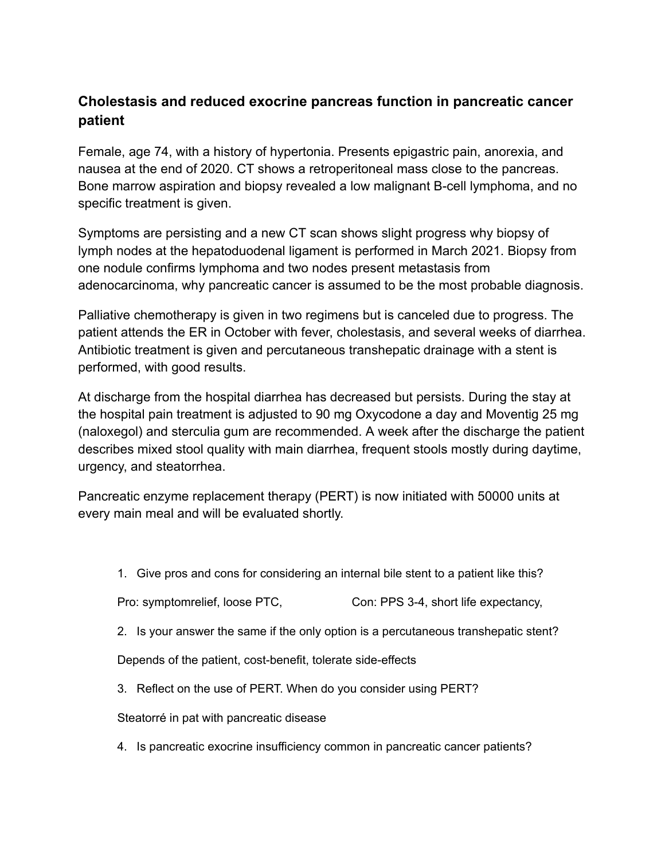## **Cholestasis and reduced exocrine pancreas function in pancreatic cancer patient**

Female, age 74, with a history of hypertonia. Presents epigastric pain, anorexia, and nausea at the end of 2020. CT shows a retroperitoneal mass close to the pancreas. Bone marrow aspiration and biopsy revealed a low malignant B-cell lymphoma, and no specific treatment is given.

Symptoms are persisting and a new CT scan shows slight progress why biopsy of lymph nodes at the hepatoduodenal ligament is performed in March 2021. Biopsy from one nodule confirms lymphoma and two nodes present metastasis from adenocarcinoma, why pancreatic cancer is assumed to be the most probable diagnosis.

Palliative chemotherapy is given in two regimens but is canceled due to progress. The patient attends the ER in October with fever, cholestasis, and several weeks of diarrhea. Antibiotic treatment is given and percutaneous transhepatic drainage with a stent is performed, with good results.

At discharge from the hospital diarrhea has decreased but persists. During the stay at the hospital pain treatment is adjusted to 90 mg Oxycodone a day and Moventig 25 mg (naloxegol) and sterculia gum are recommended. A week after the discharge the patient describes mixed stool quality with main diarrhea, frequent stools mostly during daytime, urgency, and steatorrhea.

Pancreatic enzyme replacement therapy (PERT) is now initiated with 50000 units at every main meal and will be evaluated shortly.

1. Give pros and cons for considering an internal bile stent to a patient like this?

Pro: symptomrelief, loose PTC, Con: PPS 3-4, short life expectancy,

2. Is your answer the same if the only option is a percutaneous transhepatic stent?

Depends of the patient, cost-benefit, tolerate side-effects

3. Reflect on the use of PERT. When do you consider using PERT?

Steatorré in pat with pancreatic disease

4. Is pancreatic exocrine insufficiency common in pancreatic cancer patients?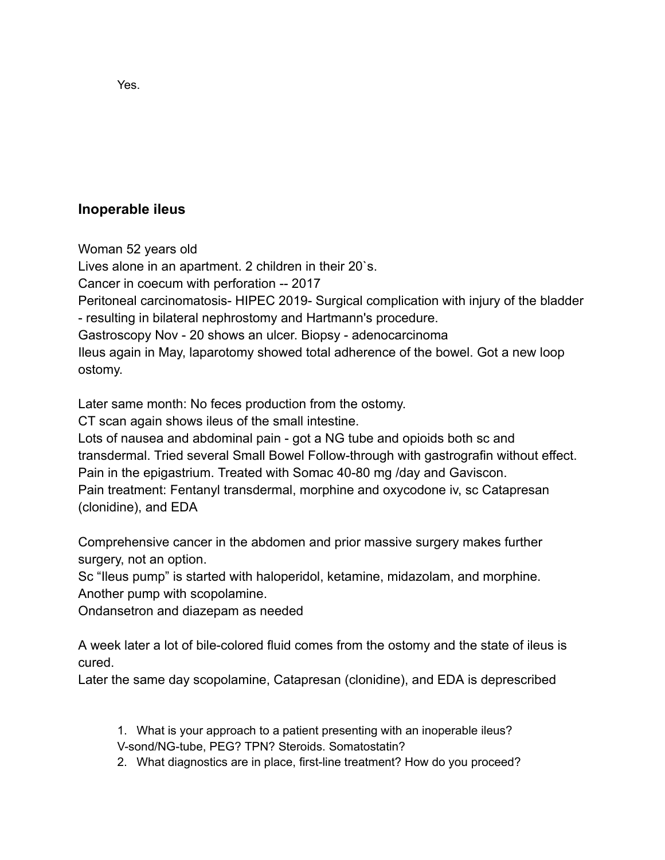**Inoperable ileus**

Woman 52 years old

Lives alone in an apartment. 2 children in their 20`s.

Cancer in coecum with perforation -- 2017

Peritoneal carcinomatosis- HIPEC 2019- Surgical complication with injury of the bladder - resulting in bilateral nephrostomy and Hartmann's procedure.

Gastroscopy Nov - 20 shows an ulcer. Biopsy - adenocarcinoma

Ileus again in May, laparotomy showed total adherence of the bowel. Got a new loop ostomy.

Later same month: No feces production from the ostomy.

CT scan again shows ileus of the small intestine.

Lots of nausea and abdominal pain - got a NG tube and opioids both sc and transdermal. Tried several Small Bowel Follow-through with gastrografin without effect. Pain in the epigastrium. Treated with Somac 40-80 mg /day and Gaviscon. Pain treatment: Fentanyl transdermal, morphine and oxycodone iv, sc Catapresan (clonidine), and EDA

Comprehensive cancer in the abdomen and prior massive surgery makes further surgery, not an option.

Sc "Ileus pump" is started with haloperidol, ketamine, midazolam, and morphine. Another pump with scopolamine.

Ondansetron and diazepam as needed

A week later a lot of bile-colored fluid comes from the ostomy and the state of ileus is cured.

Later the same day scopolamine, Catapresan (clonidine), and EDA is deprescribed

1. What is your approach to a patient presenting with an inoperable ileus? V-sond/NG-tube, PEG? TPN? Steroids. Somatostatin?

2. What diagnostics are in place, first-line treatment? How do you proceed?

Yes.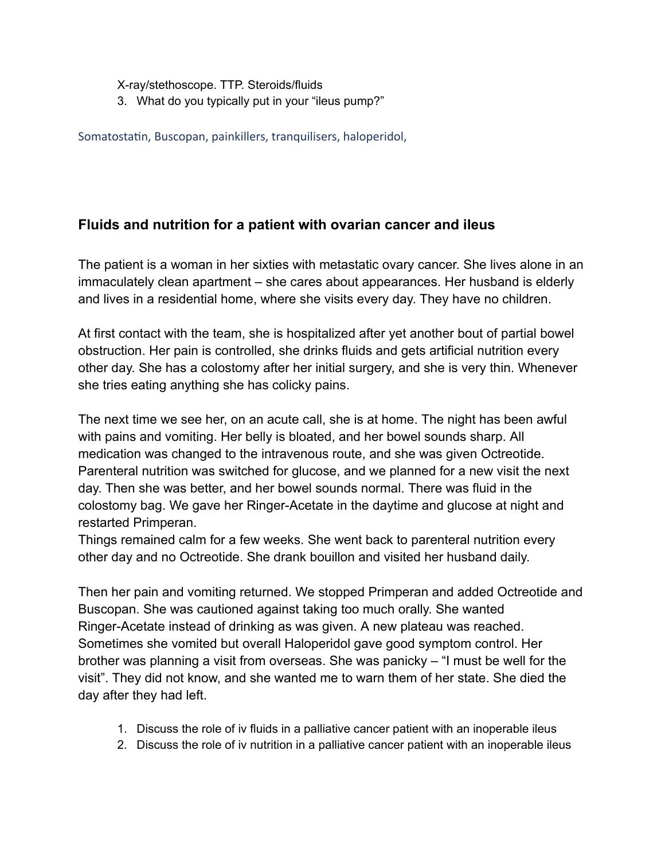X-ray/stethoscope. TTP. Steroids/fluids 3. What do you typically put in your "ileus pump?"

Somatostatin, Buscopan, painkillers, tranquilisers, haloperidol,

## **Fluids and nutrition for a patient with ovarian cancer and ileus**

The patient is a woman in her sixties with metastatic ovary cancer. She lives alone in an immaculately clean apartment – she cares about appearances. Her husband is elderly and lives in a residential home, where she visits every day. They have no children.

At first contact with the team, she is hospitalized after yet another bout of partial bowel obstruction. Her pain is controlled, she drinks fluids and gets artificial nutrition every other day. She has a colostomy after her initial surgery, and she is very thin. Whenever she tries eating anything she has colicky pains.

The next time we see her, on an acute call, she is at home. The night has been awful with pains and vomiting. Her belly is bloated, and her bowel sounds sharp. All medication was changed to the intravenous route, and she was given Octreotide. Parenteral nutrition was switched for glucose, and we planned for a new visit the next day. Then she was better, and her bowel sounds normal. There was fluid in the colostomy bag. We gave her Ringer-Acetate in the daytime and glucose at night and restarted Primperan.

Things remained calm for a few weeks. She went back to parenteral nutrition every other day and no Octreotide. She drank bouillon and visited her husband daily.

Then her pain and vomiting returned. We stopped Primperan and added Octreotide and Buscopan. She was cautioned against taking too much orally. She wanted Ringer-Acetate instead of drinking as was given. A new plateau was reached. Sometimes she vomited but overall Haloperidol gave good symptom control. Her brother was planning a visit from overseas. She was panicky – "I must be well for the visit". They did not know, and she wanted me to warn them of her state. She died the day after they had left.

- 1. Discuss the role of iv fluids in a palliative cancer patient with an inoperable ileus
- 2. Discuss the role of iv nutrition in a palliative cancer patient with an inoperable ileus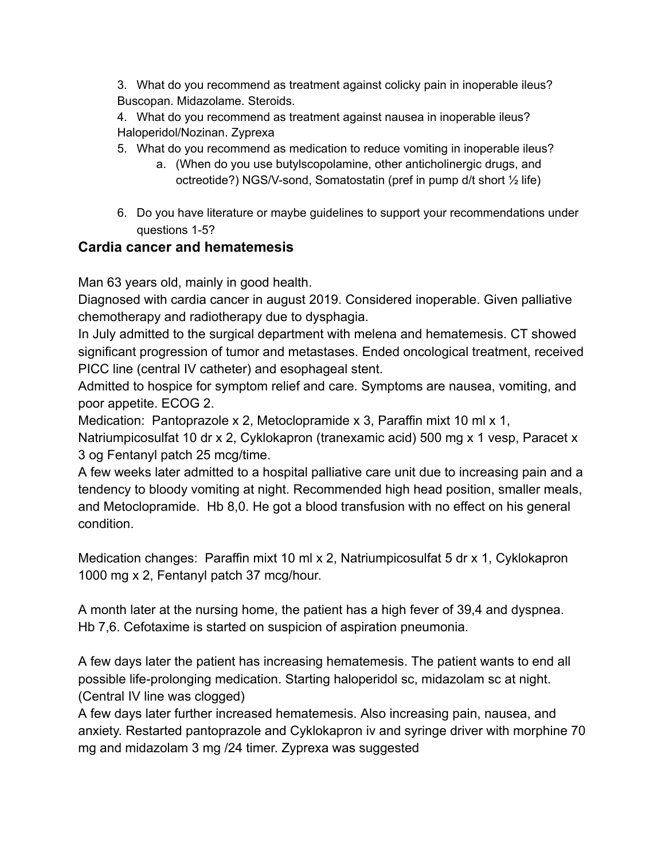3. What do you recommend as treatment against colicky pain in inoperable ileus? Buscopan. Midazolame. Steroids.

4. What do you recommend as treatment against nausea in inoperable ileus? Haloperidol/Nozinan. Zyprexa

- 5. What do you recommend as medication to reduce vomiting in inoperable ileus?
	- a. (When do you use butylscopolamine, other anticholinergic drugs, and octreotide?) NGS/V-sond, Somatostatin (pref in pump d/t short ½ life)
- 6. Do you have literature or maybe guidelines to support your recommendations under questions 1-5?

## **Cardia cancer and hematemesis**

Man 63 years old, mainly in good health.

Diagnosed with cardia cancer in august 2019. Considered inoperable. Given palliative chemotherapy and radiotherapy due to dysphagia.

In July admitted to the surgical department with melena and hematemesis. CT showed significant progression of tumor and metastases. Ended oncological treatment, received PICC line (central IV catheter) and esophageal stent.

Admitted to hospice for symptom relief and care. Symptoms are nausea, vomiting, and poor appetite. ECOG 2.

Medication: Pantoprazole x 2, Metoclopramide x 3, Paraffin mixt 10 ml x 1,

Natriumpicosulfat 10 dr x 2, Cyklokapron (tranexamic acid) 500 mg x 1 vesp, Paracet x 3 og Fentanyl patch 25 mcg/time.

A few weeks later admitted to a hospital palliative care unit due to increasing pain and a tendency to bloody vomiting at night. Recommended high head position, smaller meals, and Metoclopramide. Hb 8,0. He got a blood transfusion with no effect on his general condition.

Medication changes: Paraffin mixt 10 ml x 2, Natriumpicosulfat 5 dr x 1, Cyklokapron 1000 mg x 2, Fentanyl patch 37 mcg/hour.

A month later at the nursing home, the patient has a high fever of 39,4 and dyspnea. Hb 7,6. Cefotaxime is started on suspicion of aspiration pneumonia.

A few days later the patient has increasing hematemesis. The patient wants to end all possible life-prolonging medication. Starting haloperidol sc, midazolam sc at night. (Central IV line was clogged)

A few days later further increased hematemesis. Also increasing pain, nausea, and anxiety. Restarted pantoprazole and Cyklokapron iv and syringe driver with morphine 70 mg and midazolam 3 mg /24 timer. Zyprexa was suggested